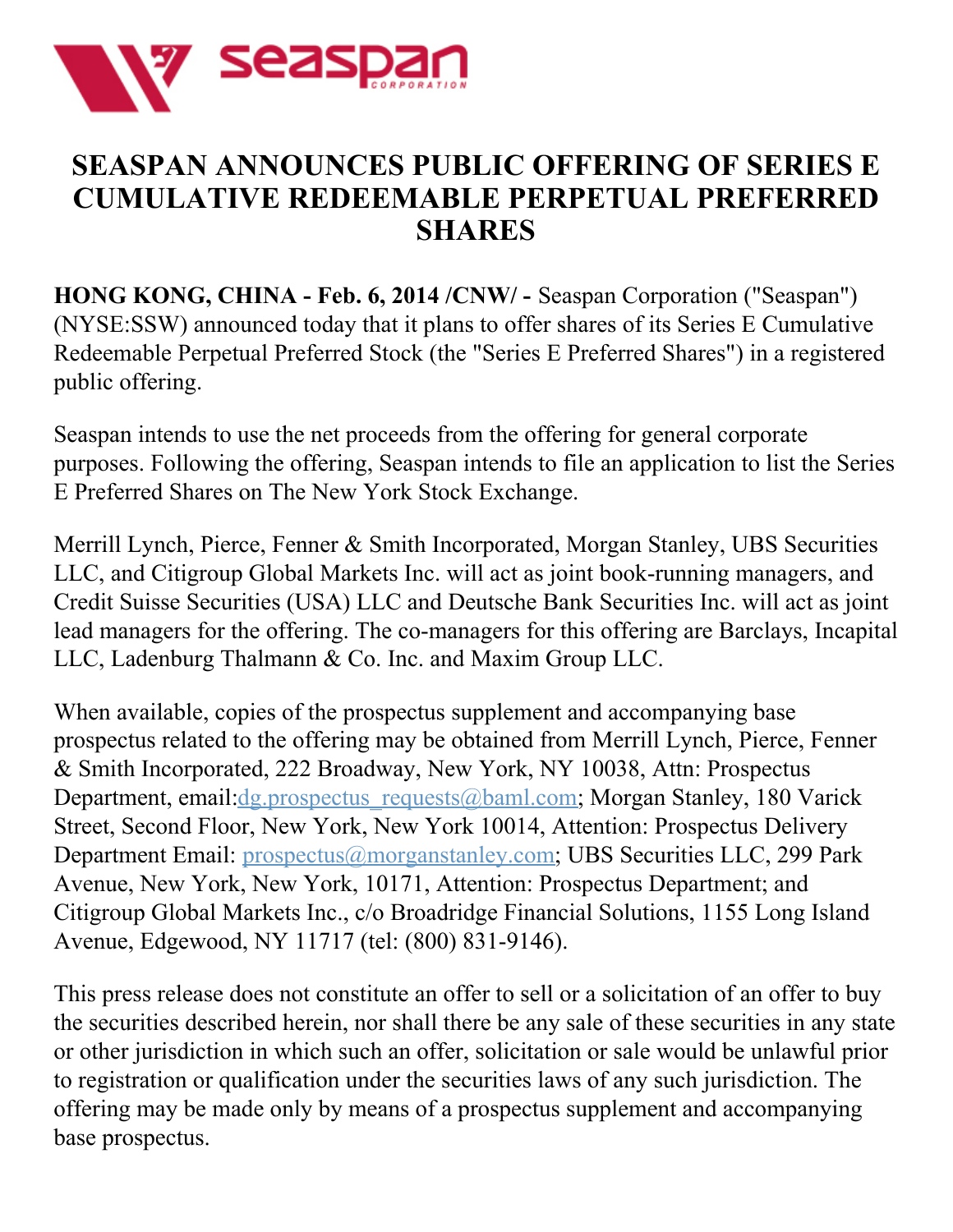

## **SEASPAN ANNOUNCES PUBLIC OFFERING OF SERIES E CUMULATIVE REDEEMABLE PERPETUAL PREFERRED SHARES**

**HONG KONG, CHINA - Feb. 6, 2014 /CNW/ -** Seaspan Corporation ("Seaspan") (NYSE:SSW) announced today that it plans to offer shares of its Series E Cumulative Redeemable Perpetual Preferred Stock (the "Series E Preferred Shares") in a registered public offering.

Seaspan intends to use the net proceeds from the offering for general corporate purposes. Following the offering, Seaspan intends to file an application to list the Series E Preferred Shares on The New York Stock Exchange.

Merrill Lynch, Pierce, Fenner & Smith Incorporated, Morgan Stanley, UBS Securities LLC, and Citigroup Global Markets Inc. will act as joint book-running managers, and Credit Suisse Securities (USA) LLC and Deutsche Bank Securities Inc. will act as joint lead managers for the offering. The co-managers for this offering are Barclays, Incapital LLC, Ladenburg Thalmann & Co. Inc. and Maxim Group LLC.

When available, copies of the prospectus supplement and accompanying base prospectus related to the offering may be obtained from Merrill Lynch, Pierce, Fenner & Smith Incorporated, 222 Broadway, New York, NY 10038, Attn: Prospectus Department, email[:dg.prospectus\\_requests@baml.com](mailto:dg.prospectus_requests@baml.com); Morgan Stanley, 180 Varick Street, Second Floor, New York, New York 10014, Attention: Prospectus Delivery Department Email: [prospectus@morganstanley.com](mailto:prospectus@morganstanley.com); UBS Securities LLC, 299 Park Avenue, New York, New York, 10171, Attention: Prospectus Department; and Citigroup Global Markets Inc., c/o Broadridge Financial Solutions, 1155 Long Island Avenue, Edgewood, NY 11717 (tel: (800) 831-9146).

This press release does not constitute an offer to sell or a solicitation of an offer to buy the securities described herein, nor shall there be any sale of these securities in any state or other jurisdiction in which such an offer, solicitation or sale would be unlawful prior to registration or qualification under the securities laws of any such jurisdiction. The offering may be made only by means of a prospectus supplement and accompanying base prospectus.